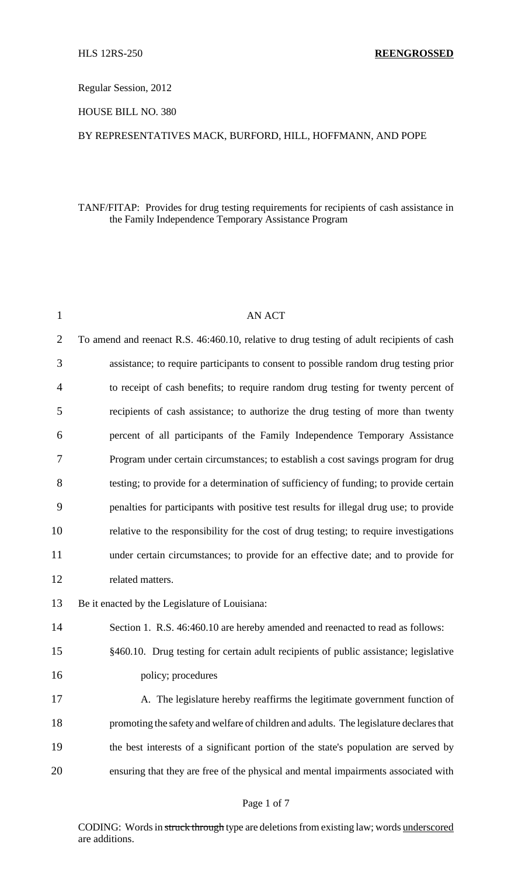Regular Session, 2012

HOUSE BILL NO. 380

### BY REPRESENTATIVES MACK, BURFORD, HILL, HOFFMANN, AND POPE

# TANF/FITAP: Provides for drug testing requirements for recipients of cash assistance in the Family Independence Temporary Assistance Program

| $\mathbf{1}$   | <b>AN ACT</b>                                                                             |
|----------------|-------------------------------------------------------------------------------------------|
| $\overline{2}$ | To amend and reenact R.S. 46:460.10, relative to drug testing of adult recipients of cash |
| 3              | assistance; to require participants to consent to possible random drug testing prior      |
| $\overline{4}$ | to receipt of cash benefits; to require random drug testing for twenty percent of         |
| 5              | recipients of cash assistance; to authorize the drug testing of more than twenty          |
| 6              | percent of all participants of the Family Independence Temporary Assistance               |
| 7              | Program under certain circumstances; to establish a cost savings program for drug         |
| 8              | testing; to provide for a determination of sufficiency of funding; to provide certain     |
| 9              | penalties for participants with positive test results for illegal drug use; to provide    |
| 10             | relative to the responsibility for the cost of drug testing; to require investigations    |
| 11             | under certain circumstances; to provide for an effective date; and to provide for         |
| 12             | related matters.                                                                          |
| 13             | Be it enacted by the Legislature of Louisiana:                                            |
| 14             | Section 1. R.S. 46:460.10 are hereby amended and reenacted to read as follows:            |
| 15             | §460.10. Drug testing for certain adult recipients of public assistance; legislative      |
| 16             | policy; procedures                                                                        |
| 17             | A. The legislature hereby reaffirms the legitimate government function of                 |
| 18             | promoting the safety and welfare of children and adults. The legislature declares that    |
| 19             | the best interests of a significant portion of the state's population are served by       |
| 20             | ensuring that they are free of the physical and mental impairments associated with        |
|                |                                                                                           |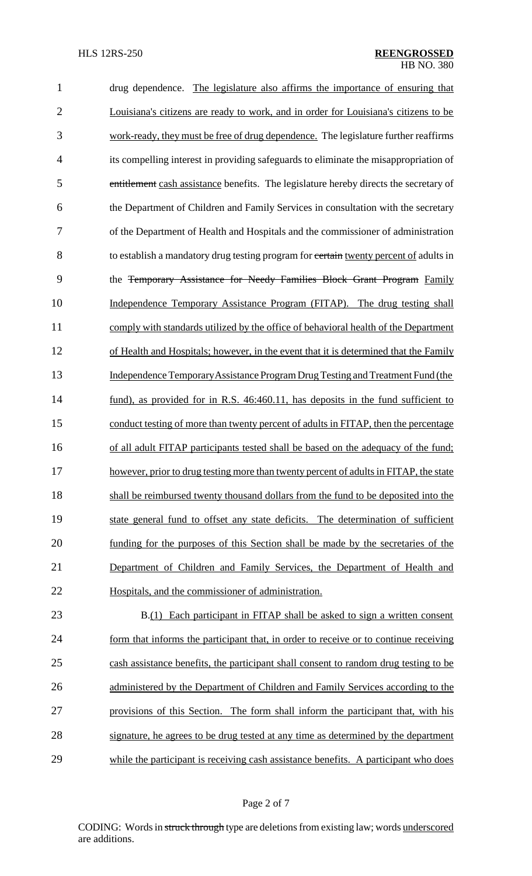| $\mathbf{1}$   | drug dependence. The legislature also affirms the importance of ensuring that         |
|----------------|---------------------------------------------------------------------------------------|
| $\overline{2}$ | Louisiana's citizens are ready to work, and in order for Louisiana's citizens to be   |
| 3              | work-ready, they must be free of drug dependence. The legislature further reaffirms   |
| $\overline{4}$ | its compelling interest in providing safeguards to eliminate the misappropriation of  |
| 5              | entitlement cash assistance benefits. The legislature hereby directs the secretary of |
| 6              | the Department of Children and Family Services in consultation with the secretary     |
| 7              | of the Department of Health and Hospitals and the commissioner of administration      |
| 8              | to establish a mandatory drug testing program for certain twenty percent of adults in |
| 9              | the Temporary Assistance for Needy Families Block Grant Program Family                |
| 10             | Independence Temporary Assistance Program (FITAP). The drug testing shall             |
| 11             | comply with standards utilized by the office of behavioral health of the Department   |
| 12             | of Health and Hospitals; however, in the event that it is determined that the Family  |
| 13             | Independence Temporary Assistance Program Drug Testing and Treatment Fund (the        |
| 14             | fund), as provided for in R.S. 46:460.11, has deposits in the fund sufficient to      |
| 15             | conduct testing of more than twenty percent of adults in FITAP, then the percentage   |
| 16             | of all adult FITAP participants tested shall be based on the adequacy of the fund;    |
| 17             | however, prior to drug testing more than twenty percent of adults in FITAP, the state |
| 18             | shall be reimbursed twenty thousand dollars from the fund to be deposited into the    |
| 19             | state general fund to offset any state deficits. The determination of sufficient      |
| 20             | funding for the purposes of this Section shall be made by the secretaries of the      |
| 21             | Department of Children and Family Services, the Department of Health and              |
| 22             | Hospitals, and the commissioner of administration.                                    |
| 23             | B.(1) Each participant in FITAP shall be asked to sign a written consent              |
| 24             | form that informs the participant that, in order to receive or to continue receiving  |
| 25             | cash assistance benefits, the participant shall consent to random drug testing to be  |
| 26             | administered by the Department of Children and Family Services according to the       |
| 27             | provisions of this Section. The form shall inform the participant that, with his      |
| 28             | signature, he agrees to be drug tested at any time as determined by the department    |

while the participant is receiving cash assistance benefits. A participant who does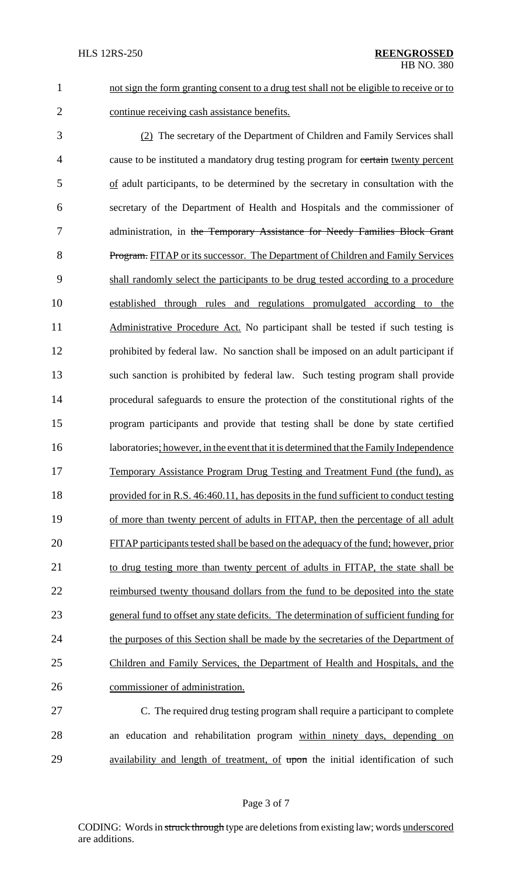1 not sign the form granting consent to a drug test shall not be eligible to receive or to 2 continue receiving cash assistance benefits.

3 (2) The secretary of the Department of Children and Family Services shall 4 cause to be instituted a mandatory drug testing program for certain twenty percent 5 of adult participants, to be determined by the secretary in consultation with the 6 secretary of the Department of Health and Hospitals and the commissioner of 7 administration, in the Temporary Assistance for Needy Families Block Grant 8 Program. FITAP or its successor. The Department of Children and Family Services 9 shall randomly select the participants to be drug tested according to a procedure 10 established through rules and regulations promulgated according to the 11 Administrative Procedure Act. No participant shall be tested if such testing is 12 prohibited by federal law. No sanction shall be imposed on an adult participant if 13 such sanction is prohibited by federal law. Such testing program shall provide 14 procedural safeguards to ensure the protection of the constitutional rights of the 15 program participants and provide that testing shall be done by state certified 16 laboratories; however, in the event that it is determined that the Family Independence 17 Temporary Assistance Program Drug Testing and Treatment Fund (the fund), as 18 provided for in R.S. 46:460.11, has deposits in the fund sufficient to conduct testing 19 of more than twenty percent of adults in FITAP, then the percentage of all adult 20 FITAP participants tested shall be based on the adequacy of the fund; however, prior 21 to drug testing more than twenty percent of adults in FITAP, the state shall be 22 reimbursed twenty thousand dollars from the fund to be deposited into the state 23 general fund to offset any state deficits. The determination of sufficient funding for 24 the purposes of this Section shall be made by the secretaries of the Department of 25 Children and Family Services, the Department of Health and Hospitals, and the 26 commissioner of administration.

27 C. The required drug testing program shall require a participant to complete 28 an education and rehabilitation program within ninety days, depending on 29 availability and length of treatment, of upon the initial identification of such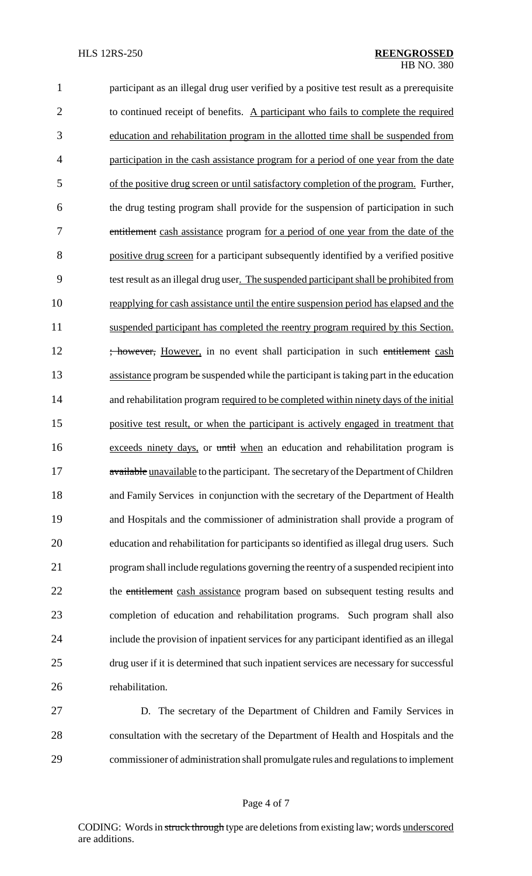participant as an illegal drug user verified by a positive test result as a prerequisite 2 to continued receipt of benefits. A participant who fails to complete the required education and rehabilitation program in the allotted time shall be suspended from 4 participation in the cash assistance program for a period of one year from the date of the positive drug screen or until satisfactory completion of the program. Further, the drug testing program shall provide for the suspension of participation in such 7 entitlement cash assistance program for a period of one year from the date of the positive drug screen for a participant subsequently identified by a verified positive test result as an illegal drug user. The suspended participant shall be prohibited from reapplying for cash assistance until the entire suspension period has elapsed and the suspended participant has completed the reentry program required by this Section. 12 ; however, However, in no event shall participation in such entitlement cash assistance program be suspended while the participant istaking part in the education 14 and rehabilitation program required to be completed within ninety days of the initial positive test result, or when the participant is actively engaged in treatment that exceeds ninety days, or until when an education and rehabilitation program is 17 available unavailable to the participant. The secretary of the Department of Children and Family Services in conjunction with the secretary of the Department of Health and Hospitals and the commissioner of administration shall provide a program of education and rehabilitation for participants so identified asillegal drug users. Such program shall include regulations governing the reentry of a suspended recipient into 22 the entitlement cash assistance program based on subsequent testing results and completion of education and rehabilitation programs. Such program shall also include the provision of inpatient services for any participant identified as an illegal drug user if it is determined that such inpatient services are necessary for successful rehabilitation.

 D. The secretary of the Department of Children and Family Services in consultation with the secretary of the Department of Health and Hospitals and the commissioner of administration shall promulgate rules and regulationsto implement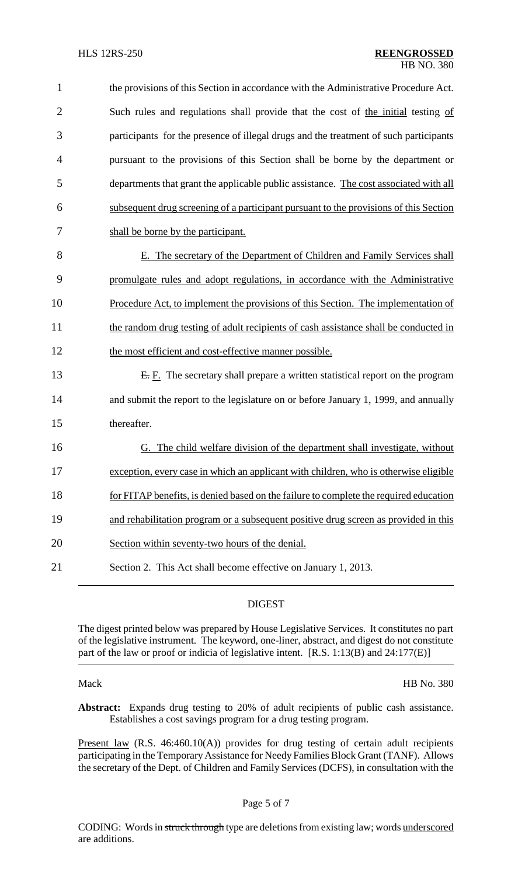| $\mathbf{1}$   | the provisions of this Section in accordance with the Administrative Procedure Act.   |
|----------------|---------------------------------------------------------------------------------------|
| $\overline{2}$ | Such rules and regulations shall provide that the cost of the initial testing of      |
| 3              | participants for the presence of illegal drugs and the treatment of such participants |
| $\overline{4}$ | pursuant to the provisions of this Section shall be borne by the department or        |
| 5              | departments that grant the applicable public assistance. The cost associated with all |
| 6              | subsequent drug screening of a participant pursuant to the provisions of this Section |
| 7              | shall be borne by the participant.                                                    |
| 8              | E. The secretary of the Department of Children and Family Services shall              |
| 9              | promulgate rules and adopt regulations, in accordance with the Administrative         |
| 10             | Procedure Act, to implement the provisions of this Section. The implementation of     |
| 11             | the random drug testing of adult recipients of cash assistance shall be conducted in  |
| 12             | the most efficient and cost-effective manner possible.                                |
| 13             | $E$ . The secretary shall prepare a written statistical report on the program         |
| 14             | and submit the report to the legislature on or before January 1, 1999, and annually   |
| 15             | thereafter.                                                                           |
| 16             | G. The child welfare division of the department shall investigate, without            |
| 17             | exception, every case in which an applicant with children, who is otherwise eligible  |
| 18             | for FITAP benefits, is denied based on the failure to complete the required education |
| 19             | and rehabilitation program or a subsequent positive drug screen as provided in this   |
| 20             | Section within seventy-two hours of the denial.                                       |
| 21             | Section 2. This Act shall become effective on January 1, 2013.                        |

## DIGEST

The digest printed below was prepared by House Legislative Services. It constitutes no part of the legislative instrument. The keyword, one-liner, abstract, and digest do not constitute part of the law or proof or indicia of legislative intent. [R.S. 1:13(B) and 24:177(E)]

Mack HB No. 380

**Abstract:** Expands drug testing to 20% of adult recipients of public cash assistance. Establishes a cost savings program for a drug testing program.

Present law (R.S. 46:460.10(A)) provides for drug testing of certain adult recipients participating in the Temporary Assistance for Needy Families Block Grant (TANF). Allows the secretary of the Dept. of Children and Family Services (DCFS), in consultation with the

# Page 5 of 7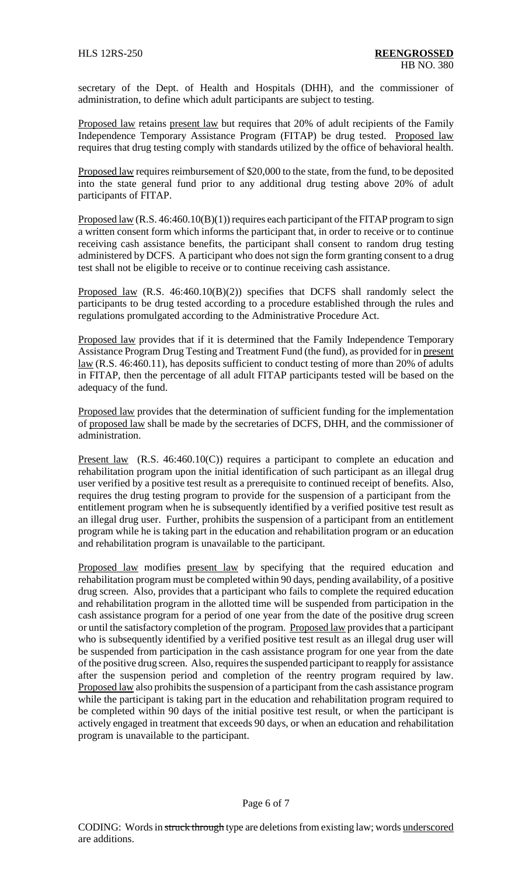secretary of the Dept. of Health and Hospitals (DHH), and the commissioner of administration, to define which adult participants are subject to testing.

Proposed law retains present law but requires that 20% of adult recipients of the Family Independence Temporary Assistance Program (FITAP) be drug tested. Proposed law requires that drug testing comply with standards utilized by the office of behavioral health.

Proposed law requires reimbursement of \$20,000 to the state, from the fund, to be deposited into the state general fund prior to any additional drug testing above 20% of adult participants of FITAP.

Proposed law  $(R.S. 46:460.10(B)(1))$  requires each participant of the FITAP program to sign a written consent form which informs the participant that, in order to receive or to continue receiving cash assistance benefits, the participant shall consent to random drug testing administered by DCFS. A participant who does not sign the form granting consent to a drug test shall not be eligible to receive or to continue receiving cash assistance.

Proposed law (R.S. 46:460.10(B)(2)) specifies that DCFS shall randomly select the participants to be drug tested according to a procedure established through the rules and regulations promulgated according to the Administrative Procedure Act.

Proposed law provides that if it is determined that the Family Independence Temporary Assistance Program Drug Testing and Treatment Fund (the fund), as provided for in present law (R.S. 46:460.11), has deposits sufficient to conduct testing of more than 20% of adults in FITAP, then the percentage of all adult FITAP participants tested will be based on the adequacy of the fund.

Proposed law provides that the determination of sufficient funding for the implementation of proposed law shall be made by the secretaries of DCFS, DHH, and the commissioner of administration.

Present law (R.S. 46:460.10(C)) requires a participant to complete an education and rehabilitation program upon the initial identification of such participant as an illegal drug user verified by a positive test result as a prerequisite to continued receipt of benefits. Also, requires the drug testing program to provide for the suspension of a participant from the entitlement program when he is subsequently identified by a verified positive test result as an illegal drug user. Further, prohibits the suspension of a participant from an entitlement program while he is taking part in the education and rehabilitation program or an education and rehabilitation program is unavailable to the participant.

Proposed law modifies present law by specifying that the required education and rehabilitation program must be completed within 90 days, pending availability, of a positive drug screen. Also, provides that a participant who fails to complete the required education and rehabilitation program in the allotted time will be suspended from participation in the cash assistance program for a period of one year from the date of the positive drug screen or until the satisfactory completion of the program. Proposed law providesthat a participant who is subsequently identified by a verified positive test result as an illegal drug user will be suspended from participation in the cash assistance program for one year from the date of the positive drug screen. Also, requires the suspended participant to reapply for assistance after the suspension period and completion of the reentry program required by law. Proposed law also prohibits the suspension of a participant from the cash assistance program while the participant is taking part in the education and rehabilitation program required to be completed within 90 days of the initial positive test result, or when the participant is actively engaged in treatment that exceeds 90 days, or when an education and rehabilitation program is unavailable to the participant.